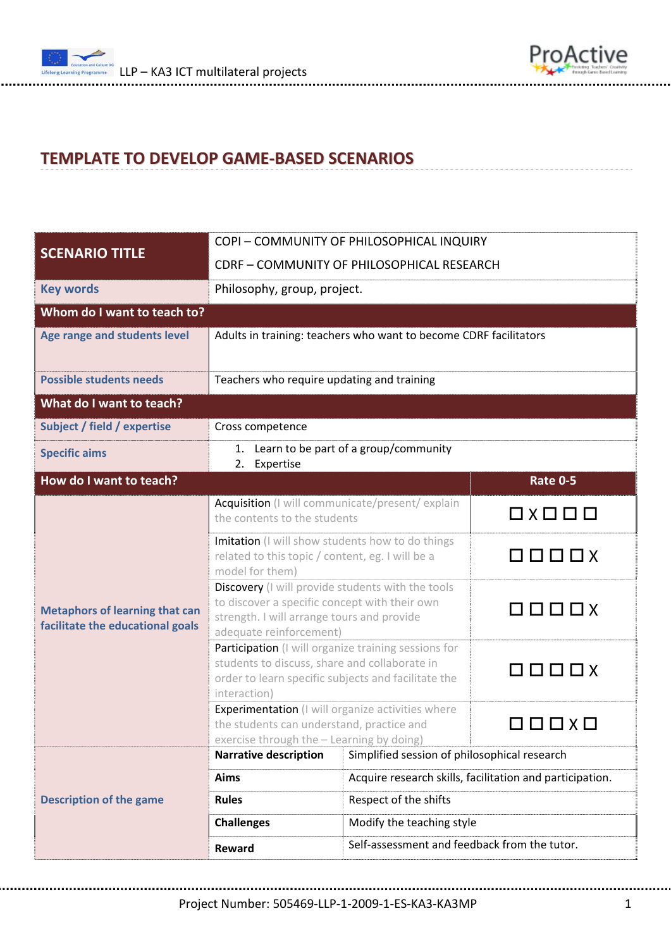



## **TEMPLATE TO DEVELOP GAME‐BASED SCENARIOS**

| <b>SCENARIO TITLE</b>                                                     | COPI - COMMUNITY OF PHILOSOPHICAL INQUIRY                                                                                                                                    |                                                          |                                          |  |  |  |
|---------------------------------------------------------------------------|------------------------------------------------------------------------------------------------------------------------------------------------------------------------------|----------------------------------------------------------|------------------------------------------|--|--|--|
|                                                                           | CDRF - COMMUNITY OF PHILOSOPHICAL RESEARCH                                                                                                                                   |                                                          |                                          |  |  |  |
| <b>Key words</b>                                                          | Philosophy, group, project.                                                                                                                                                  |                                                          |                                          |  |  |  |
| Whom do I want to teach to?                                               |                                                                                                                                                                              |                                                          |                                          |  |  |  |
| Age range and students level                                              | Adults in training: teachers who want to become CDRF facilitators                                                                                                            |                                                          |                                          |  |  |  |
| <b>Possible students needs</b>                                            | Teachers who require updating and training                                                                                                                                   |                                                          |                                          |  |  |  |
| What do I want to teach?                                                  |                                                                                                                                                                              |                                                          |                                          |  |  |  |
| Subject / field / expertise                                               | Cross competence                                                                                                                                                             |                                                          |                                          |  |  |  |
| <b>Specific aims</b>                                                      | 1. Learn to be part of a group/community<br>Expertise<br>2.                                                                                                                  |                                                          |                                          |  |  |  |
| How do I want to teach?                                                   |                                                                                                                                                                              |                                                          | <b>Rate 0-5</b>                          |  |  |  |
| <b>Metaphors of learning that can</b><br>facilitate the educational goals | Acquisition (I will communicate/present/explain<br>the contents to the students                                                                                              |                                                          | $\square \times \square \square \square$ |  |  |  |
|                                                                           | Imitation (I will show students how to do things<br>related to this topic / content, eg. I will be a<br>model for them)                                                      |                                                          | $\Box$                                   |  |  |  |
|                                                                           | Discovery (I will provide students with the tools<br>to discover a specific concept with their own<br>strength. I will arrange tours and provide<br>adequate reinforcement)  |                                                          | $\Box$                                   |  |  |  |
|                                                                           | Participation (I will organize training sessions for<br>students to discuss, share and collaborate in<br>order to learn specific subjects and facilitate the<br>interaction) |                                                          | 0000x                                    |  |  |  |
|                                                                           | Experimentation (I will organize activities where<br>the students can understand, practice and<br>exercise through the - Learning by doing)                                  |                                                          | $\square$ $\square$ $\times$ $\square$   |  |  |  |
| <b>Description of the game</b>                                            | <b>Narrative description</b>                                                                                                                                                 | Simplified session of philosophical research             |                                          |  |  |  |
|                                                                           | <b>Aims</b>                                                                                                                                                                  | Acquire research skills, facilitation and participation. |                                          |  |  |  |
|                                                                           | <b>Rules</b>                                                                                                                                                                 | Respect of the shifts                                    |                                          |  |  |  |
|                                                                           | <b>Challenges</b>                                                                                                                                                            | Modify the teaching style                                |                                          |  |  |  |
|                                                                           | Reward                                                                                                                                                                       | Self-assessment and feedback from the tutor.             |                                          |  |  |  |

Project Number: 505469‐LLP‐1‐2009‐1‐ES‐KA3‐KA3MP 1